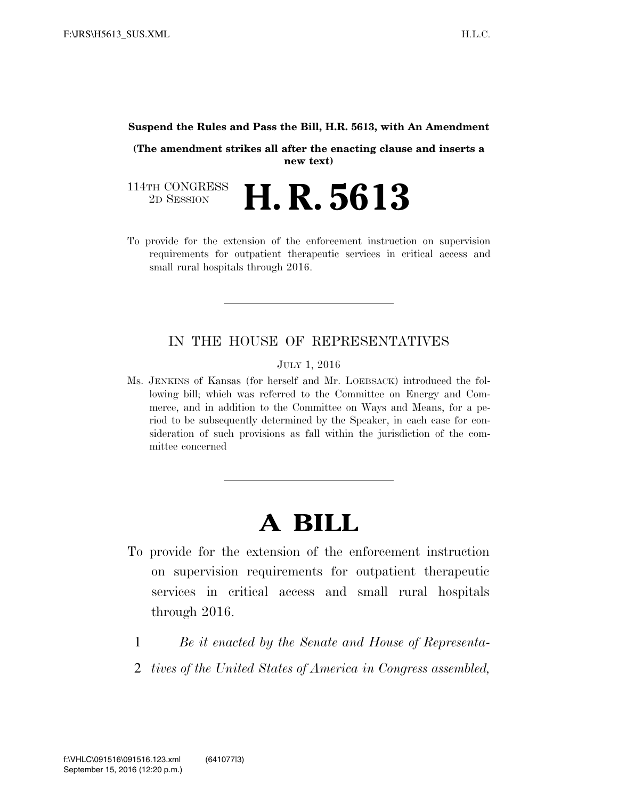#### **Suspend the Rules and Pass the Bill, H.R. 5613, with An Amendment**

**(The amendment strikes all after the enacting clause and inserts a new text)** 

114TH CONGRESS<br>2D SESSION 2D SESSION **H. R. 5613**

To provide for the extension of the enforcement instruction on supervision requirements for outpatient therapeutic services in critical access and small rural hospitals through 2016.

## IN THE HOUSE OF REPRESENTATIVES

JULY 1, 2016

Ms. JENKINS of Kansas (for herself and Mr. LOEBSACK) introduced the following bill; which was referred to the Committee on Energy and Commerce, and in addition to the Committee on Ways and Means, for a period to be subsequently determined by the Speaker, in each case for consideration of such provisions as fall within the jurisdiction of the committee concerned

# **A BILL**

- To provide for the extension of the enforcement instruction on supervision requirements for outpatient therapeutic services in critical access and small rural hospitals through 2016.
	- 1 *Be it enacted by the Senate and House of Representa-*
	- 2 *tives of the United States of America in Congress assembled,*